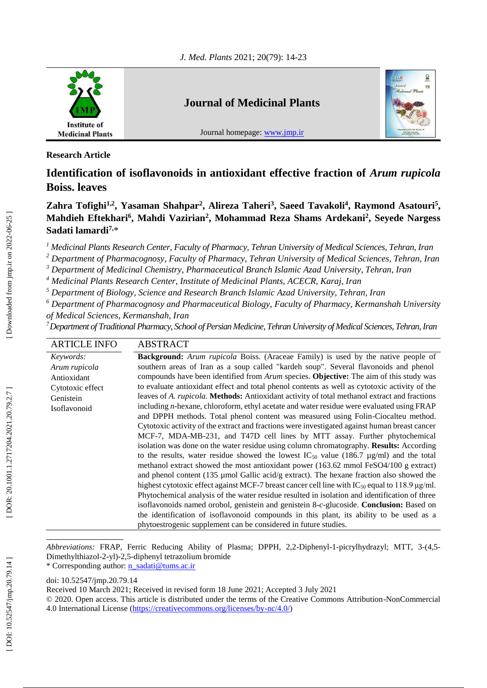

**Research Article**

# **Identification of isoflavonoids in antioxidant effective fraction of** *Arum rupicola*  **Boiss. leaves**

Zahra Tofighi<sup>1,2</sup>, Yasaman Shahpar<sup>2</sup>, Alireza Taheri<sup>3</sup>, Saeed Tavakoli<sup>4</sup>, Raymond Asatouri<sup>5</sup>, Mahdieh Eftekhari<sup>6</sup>, Mahdi Vazirian<sup>2</sup>, Mohammad Reza Shams Ardekani<sup>2</sup>, Seyede Nargess **Sadati lamardi 7 ,** \*

*<sup>1</sup> Medicinal Plants Research Center, Faculty of Pharmacy, Tehran University of Medical Sciences, Tehran, Iran*

*<sup>2</sup> Department of Pharmacognosy, Faculty of Pharmacy, Tehran University of Medical Sciences, Tehran, Iran*

*<sup>3</sup> Department of Medicinal Chemistry, Pharmaceutical Branch Islamic Azad University, Tehran, Iran*

*<sup>4</sup> Medicinal Plants Research Center, Institute of Medicinal Plants, ACECR, Karaj, Iran*

*<sup>5</sup> Department of Biology, Science and Research Branch Islamic Azad University, Tehran, Iran*

*<sup>6</sup> Department of Pharmacognosy and Pharmaceutical Biology, Faculty of Pharmacy, Kermanshah University of Medical Sciences, Kermanshah, Iran*

*<sup>7</sup>Department of Traditional Pharmacy, School of Persian Medicine, Tehran University of Medical Sciences, Tehran, Iran*

| <b>ARTICLE INFO</b>                                                                        | <b>ABSTRACT</b>                                                                                                                                                                                                                                                                                                                                                                                                                                                                                                                                                                                                                                                                                                                                                                                                                                                                                                                                                                                                                                                                                                                                                                                                                                                                                                                                                                                                                                                                                                                                                                                                                                                                                                                                      |
|--------------------------------------------------------------------------------------------|------------------------------------------------------------------------------------------------------------------------------------------------------------------------------------------------------------------------------------------------------------------------------------------------------------------------------------------------------------------------------------------------------------------------------------------------------------------------------------------------------------------------------------------------------------------------------------------------------------------------------------------------------------------------------------------------------------------------------------------------------------------------------------------------------------------------------------------------------------------------------------------------------------------------------------------------------------------------------------------------------------------------------------------------------------------------------------------------------------------------------------------------------------------------------------------------------------------------------------------------------------------------------------------------------------------------------------------------------------------------------------------------------------------------------------------------------------------------------------------------------------------------------------------------------------------------------------------------------------------------------------------------------------------------------------------------------------------------------------------------------|
| Keywords:<br>Arum rupicola<br>Antioxidant<br>Cytotoxic effect<br>Genistein<br>Isoflavonoid | <b>Background:</b> Arum rupicola Boiss. (Araceae Family) is used by the native people of<br>southern areas of Iran as a soup called "kardeh soup". Several flavonoids and phenol<br>compounds have been identified from <i>Arum</i> species. <b>Objective:</b> The aim of this study was<br>to evaluate antioxidant effect and total phenol contents as well as cytotoxic activity of the<br>leaves of A. rupicola. Methods: Antioxidant activity of total methanol extract and fractions<br>including $n$ -hexane, chloroform, ethyl acetate and water residue were evaluated using $FRAP$<br>and DPPH methods. Total phenol content was measured using Folin-Ciocalteu method.<br>Cytotoxic activity of the extract and fractions were investigated against human breast cancer<br>MCF-7, MDA-MB-231, and T47D cell lines by MTT assay. Further phytochemical<br>isolation was done on the water residue using column chromatography. Results: According<br>to the results, water residue showed the lowest IC <sub>50</sub> value (186.7 $\mu$ g/ml) and the total<br>methanol extract showed the most antioxidant power (163.62 mmol FeSO4/100 g extract)<br>and phenol content $(135 \mu \text{mol} \text{ Gallic acid/g extract})$ . The hexane fraction also showed the<br>highest cytotoxic effect against MCF-7 breast cancer cell line with $IC_{50}$ equal to 118.9 $\mu$ g/ml.<br>Phytochemical analysis of the water residue resulted in isolation and identification of three<br>isoflavonoids named orobol, genistein and genistein 8-c-glucoside. Conclusion: Based on<br>the identification of isoflavonoid compounds in this plant, its ability to be used as a<br>phytoestrogenic supplement can be considered in future studies. |

Abbreviations: FRAP, Ferric Reducing Ability of Plasma; DPPH, 2,2-Diphenyl-1-picrylhydrazyl; MTT, 3-(4,5-Dimethylthiazol-2-yl)-2,5-diphenyl tetrazolium bromide \* Corresponding author: [n\\_sadati@tums.ac.ir](mailto:n_sadati@tums.ac.ir)

doi: [10.52547/jmp.20.79.14](http://dx.doi.org/10.52547/jmp.20.79.14)

Received 10 March 202 1; Received in revised form 18 June 2021; Accepted 3 July 2021

<sup>© 2020.</sup> Open access. This article is distributed under the terms of the Creative Commons Attribution -NonCommercial 4.0 International License [\(https://creativecommons.org/licenses/by](https://creativecommons.org/licenses/by-nc/4.0/)-nc/4.0/)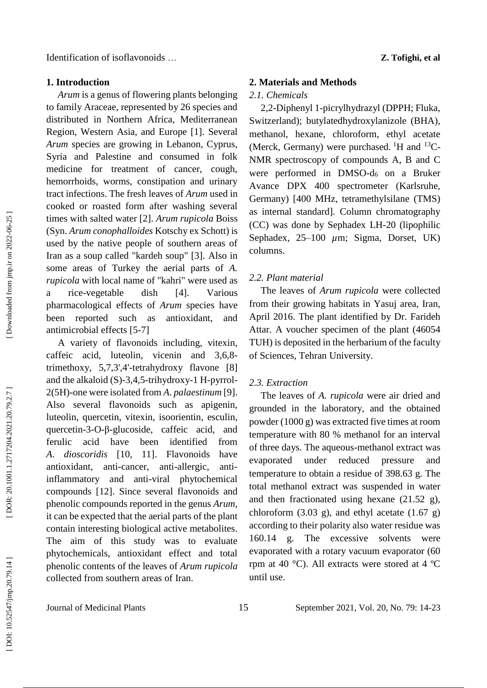#### **1. Introduction**

*Arum* is a genus of flowering plants belonging to family Araceae, represented by 26 species and distributed in Northern Africa, Mediterranean Region, Western Asia, and Europe [1]. Several *Arum* species are growing in Lebanon, Cyprus, Syria and Palestine and consumed in folk medicine for treatment of cancer, cough, hemorrhoids, worms, constipation and urinary tract infections. The fresh leaves of *Arum* used in cooked or roasted form after washing several times with salted water [2]. *Arum rupicola* Boiss (Syn. *Arum conophalloides* Kotschy ex Schott) is used by the native people of southern areas of Iran as a soup called "kardeh soup" [3]. Also in some areas of Turkey the aerial parts of *A. rupicola* with local name of "kahri" were used as a rice -vegetable dish [4]. Various pharmacological effects of *Arum* species have been reported such as antioxidant, and antimicrobial effects [5 -7]

A variety of flavonoids including, vitexin, caffeic acid, luteolin, vicenin and 3,6,8 trimethoxy, 5,7,3',4' -tetrahydroxy flavone [8] and the alkaloid (S) -3,4,5 -trihydroxy -1 H -pyrrol - 2(5H) -one were isolated from *A*. *palaestinum* [9]. Also several flavonoids such as apigenin, luteolin, quercetin, vitexin, isoorientin, esculin, quercetin-3-O-β-glucoside, caffeic acid, and ferulic acid have been identified from *A*. *dioscoridis* [10, 11]. Flavonoids have antioxidant, anti-cancer, anti-allergic, anti antiinflammatory and anti -viral phytochemical compounds [12]. Since several flavonoids and phenolic compounds reported in the genus *Arum,* it can be expected that the aerial parts of the plant contain interesting biological active metabolites. The aim of this study was to evaluate phytochemicals, antioxidant effect and total phenolic contents of the leaves of *Arum rupicola*  collected from southern areas of Iran.

#### **2. Materials and Methods**

#### *2.1. Chemicals*

2,2 -Diphenyl 1 -picrylhydrazyl (DPPH; Fluka, Switzerland); butylatedhydroxylanizole (BHA), methanol, hexane, chloroform, ethyl acetate (Merck, Germany) were purchased. <sup>1</sup>H and <sup>13</sup>C-NMR spectroscopy of compounds A, B and C were performed in DMSO - d <sup>6</sup> on a Bruker Avance DPX 400 spectrometer (Karlsruhe, Germany) [400 MHz, tetramethylsilane (TMS) as internal standard]. Column chromatography (CC) was done by Sephadex LH -20 (lipophilic Sephadex, 25-100  $\mu$ m; Sigma, Dorset, UK) columns.

### *2.2. Plant material*

The leaves of *Arum rupicola* were collected from their growing habitats in Yasuj area, Iran, April 2016. The plant identified by Dr. Farideh Attar. A voucher specimen of the plant (46054 TUH) is deposited in the herbarium of the faculty of Sciences, Tehran University.

## *2.3. Extraction*

The leaves of *A. rupicola* were air dried and grounded in the laboratory, and the obtained powder (1000 g) was extracted five times at room temperature with 80 % methanol for an interval of three days. The aqueous -methanol extract was evaporated under reduced pressure and temperature to obtain a residue of 398.63 g. The total methanol extract was suspended in water and then fractionated using hexane (21.52 g), chloroform  $(3.03 \text{ g})$ , and ethyl acetate  $(1.67 \text{ g})$ according to their polarity also water residue was 160.14 g. The excessive solvents were evaporated with a rotary vacuum evaporator (60 rpm at 40 °C). All extracts were stored at 4 ºC until use.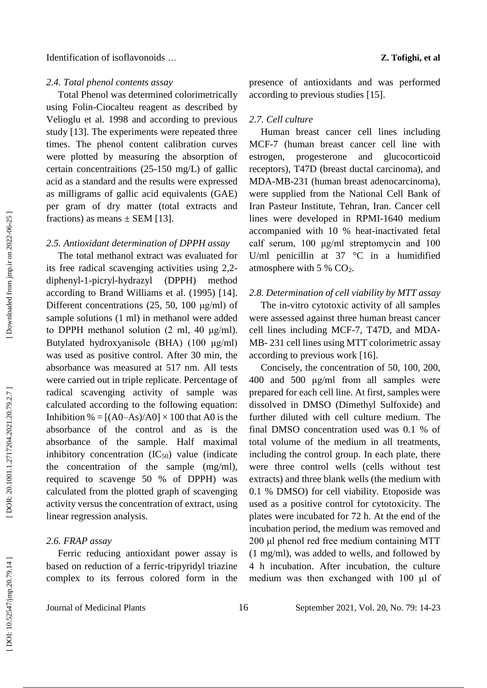## *2.4. Total phenol contents assay*

Total Phenol was determined colorimetrically using Folin -Ciocalteu reagent as described by Velioglu et al. 1998 and according to previous study [13]. The experiments were repeated three times . The phenol content calibration curves were plotted by measuring the absorption of certain concentraitions (25 -150 mg/L) of gallic acid as a standard and the results were expressed as milligrams of gallic acid equivalents (GAE) per gram of dry matter (total extracts and fractions) as means  $\pm$  SEM [13].

### *2.5. Antioxidant determination of DPPH assay*

The total methanol extract was evaluated for its free radical scavenging activities using 2,2 diphenyl - 1 -picryl -hydrazyl (DPPH) method according to Brand Williams et al. (1995) [14]. Different concentrations (25, 50, 100 μg/ml) of sample solutions (1 m l) in methanol were added to DPPH methanol solution (2 ml, 40 μg/m l). Butylated hydroxyanisole (BHA) (100 μg/ml) was used as positive control. After 30 min, the absorbance was measured at 517 nm. All tests were carried out in triple replicate. Percentage of radical scavenging activity of sample was calculated according to the following equation: Inhibition % =  $[(A0–As)/A0] \times 100$  that A0 is the absorbance of the control and as is the absorbance of the sample. Half maximal inhibitory concentration  $(IC_{50})$  value (indicate the concentration of the sample (mg/m l), required to scavenge 50 % of DPPH) was calculated from the plotted graph of scavenging activity versus the concentration of extract, using linear regression analysis.

## *2.6. FRAP assay*

Ferric reducing antioxidant power assay is based on reduction of a ferric -tripyridyl triazine complex to its ferrous colored form in the

presence of antioxidants and was performed according to previous studies [15].

#### *2.7. Cell culture*

Human breast cancer cell lines including MCF -7 (human breast cancer cell line with estrogen, progesterone and glucocorticoid receptors), T47D (breast ductal carcinoma), and MDA -MB -231 (human breast adenocarcinoma), were supplied from the National Cell Bank of Iran Pasteur Institute, Tehran, Iran. Cancer cell lines were developed in RPMI -1640 medium accompanied with 10 % heat -inactivated fetal calf serum, 100 μg/ml streptomycin and 100 U/ml penicillin at  $37 \degree$ C in a humidified atmosphere with 5 % CO 2 .

#### *2.8. Determination of cell viability by MTT assay*

The in -vitro cytotoxic activity of all samples were assessed against three human breast cancer cell lines including MCF-7, T47D, and MDA-MB - 231 cell lines using MTT colorimetric assay according to previous work [16].

Concisely, the concentration of 50, 100, 200, 400 and 500 μg/ml from all samples were prepared for each cell line. At first, samples were dissolved in DMSO (Dimethyl Sulfoxide) and further diluted with cell culture medium. The final DMSO concentration used was 0.1 % of total volume of the medium in all treatments, including the control group. In each plate, there were three control wells (cells without test extracts) and three blank wells (the medium with 0.1 % DMSO) for cell viability. Etoposide was used as a positive control for cytotoxicity. The plates were incubated for 72 h. At the end of the incubation period, the medium was removed and 200 μl phenol red free medium containing MTT (1 mg/ml), was added to wells, and followed by 4 h incubation. After incubation, the culture medium was then exchanged with 100 μl of

1, Vol. 20, No. 79: 14-23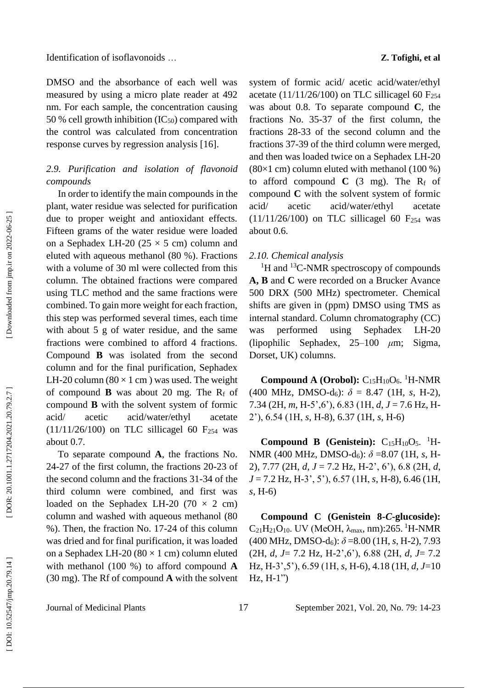Identification of isoflavonoids …

DMSO and the absorbance of each well was measured by using a micro plate reader at 492 nm. For each sample, the concentration causing 50 % cell growth inhibition  $(IC_{50})$  compared with the control was calculated from concentration response curves by regression analysis [16].

# *2. 9. Purification and isolation of flavonoid compounds*

In order to identify the main compounds in the plant, water residue was selected for purification due to proper weight and antioxidant effects. Fifteen grams of the water residue were loaded on a Sephadex LH-20  $(25 \times 5 \text{ cm})$  column and eluted with aqueous methanol (80 %). Fractions with a volume of 30 ml were collected from this column. The obtained fractions were compared using TLC method and the same fractions were combined. To gain more weight for each fraction, this step was performed several times, each time with about 5 g of water residue, and the same fractions were combined to afford 4 fractions. Compound **B** was isolated from the second column and for the final purification, Sephadex LH-20 column  $(80 \times 1 \text{ cm})$  was used. The weight of compound  $\bf{B}$  was about 20 mg. The  $R_f$  of compound **B** with the solvent system of formic acid/ acetic acid/water/ethyl acetate  $(11/11/26/100)$  on TLC sillicagel 60 F<sub>254</sub> was about 0.7.

To separate compound **A**, the fractions No. 24 -27 of the first column, the fractions 20 -23 of the second column and the fractions 31 -34 of the third column were combined, and first was loaded on the Sephadex LH-20  $(70 \times 2 \text{ cm})$ column and washed with aqueous methanol (80 %). Then, the fraction No. 17 -24 of this column was dried and for final purification, it was loaded on a Sephadex LH-20  $(80 \times 1 \text{ cm})$  column eluted with methanol (100 %) to afford compound **A** (30 mg). The Rf of compound **A** with the solvent **Z . Tofighi, et al**

system of formic acid/ acetic acid/water/ethyl acetate (11/11/26/100) on TLC sillicagel 60  $F_{254}$ was about 0.8. To separate compound **C**, the fractions No. 35 -37 of the first column, the fractions 28 -33 of the second column and the fractions 37 -39 of the third column were merged, and then was loaded twice on a Sephadex LH -20  $(80\times1$  cm) column eluted with methanol  $(100\%)$ to afford compound  $C$  (3 mg). The  $R_f$  of compound **C** with the solvent system of formic acid/ acetic acid/water/ethyl acetate  $(11/11/26/100)$  on TLC sillicagel 60 F<sub>254</sub> was about 0.6.

## *2.1 0. Chemical analysis*

<sup>1</sup>H and <sup>13</sup>C-NMR spectroscopy of compounds **A, B** and **C** were recorded on a Brucker Avance 500 DRX (500 MHz) spectrometer. Chemical shifts are given in (ppm) DMSO using TMS as internal standard. Column chromatography (CC) was performed using Sephadex  $LH-20$ (lipophilic Sephadex, 25 –100 Sigma, Dorset, UK) columns.

**Compound A (Orobol):**  $C_{15}H_{10}O_6$ . <sup>1</sup>H-NMR  $(400 \text{ MHz}, \text{ DMSO-d}_6): \delta = 8.47 \text{ (1H, s, H-2)},$ 7.34 (2H, *m*, H -5',6'), 6.83 (1H, *d*, *J* = 7.6 Hz, H - 2'), 6.54 (1H, *s*, H -8), 6.37 (1H, *s*, H -6)

**Compound B (Genistein):**  $C_{15}H_{10}O_5$ . <sup>1</sup>H-NMR (400 MHz, DMSO-d<sub>6</sub>):  $\delta$  =8.07 (1H, s, H-2), 7.77 (2H, *d*, *J* = 7.2 Hz, H -2', 6'), 6.8 (2H, *d*, *J* = 7.2 Hz, H -3', 5'), 6.57 (1H, *s*, H -8), 6.46 (1H, *s*, H -6)

**Compound C (Genistein 8 -** *C* **-glucoside):**   $C_{21}H_{21}O_{10}$ . UV (MeOH, λ<sub>max</sub>, nm):265. <sup>1</sup>H-NMR  $(400 \text{ MHz}, \text{DMSO-d}_6): \delta = 8.00 \ (1H, s, H-2), 7.93$ (2H, *d*, *J*= 7.2 Hz, H -2',6'), 6.88 (2H, *d*, *J*= 7.2 Hz, H -3',5'), 6.59 (1H, *s*, H -6), 4.18 (1H, *d*, *J*=10  $Hz$ ,  $H-1"$ 

Journal of Medicinal Plants 17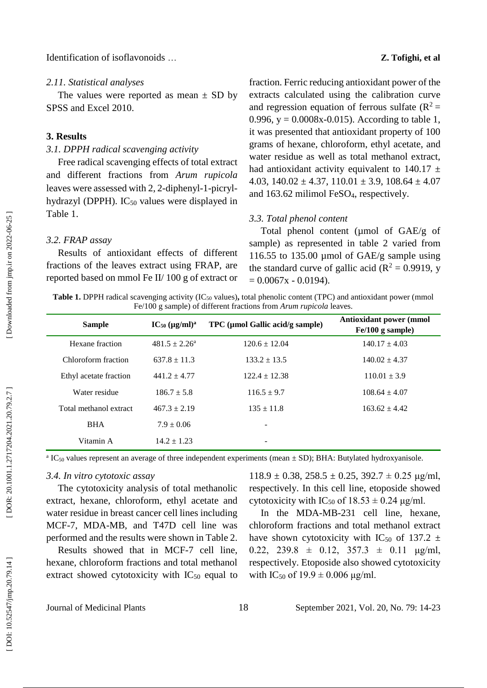#### *2.1 1. Statistical analyses*

The values were reported as mean  $\pm$  SD by SPSS and Excel 2010.

## **3. Results**

## *3.1. DPPH radical scavenging activity*

Free radical scavenging effects of total extract and different fractions from *Arum rupicola*  leaves were assessed with 2, 2-diphenyl-1-picrylhydrazyl (DPPH). IC<sub>50</sub> values were displayed in Table 1.

### *3.2. FRAP assay*

Results o f antioxidant effects of different fractions of the leaves extract using FRAP, are reported based on mmol Fe II/ 100 g of extract or

fraction. Ferric reducing antioxidant power of the extracts calculated using the calibration curve and regression equation of ferrous sulfate  $(R^2 =$ 0.996,  $y = 0.0008x - 0.015$ . According to table 1, it was presented that antioxidant property of 100 grams of hexane, chloroform, ethyl acetate, and water residue as well as total methanol extract, had antioxidant activity equivalent to 140.17  $\pm$ 4.03,  $140.02 \pm 4.37$ ,  $110.01 \pm 3.9$ ,  $108.64 \pm 4.07$ and 163.62 milimol FeSO <sup>4</sup>, respectively.

#### *3.3. Total phenol content*

Total phenol content (umol of GAE/g of sample) as represented in table 2 varied from 116.55 to 135.00 µmol of GAE/g sample using the standard curve of gallic acid ( $R^2 = 0.9919$ , y  $= 0.0067x - 0.0194$ .

**Table 1.** DPPH radical scavenging activity (IC<sub>50</sub> values), total phenolic content (TPC) and antioxidant power (mmol Fe/100 g sample) of different fractions from *Arum rupicola* leaves.

| <b>Sample</b>          | $IC_{50} (\mu g/ml)^a$ | TPC (µmol Gallic acid/g sample) | Antioxidant power (mmol<br>$Fe/100$ g sample) |
|------------------------|------------------------|---------------------------------|-----------------------------------------------|
| Hexane fraction        | $481.5 \pm 2.26^a$     | $120.6 \pm 12.04$               | $140.17 \pm 4.03$                             |
| Chloroform fraction    | $637.8 + 11.3$         | $133.2 \pm 13.5$                | $140.02 \pm 4.37$                             |
| Ethyl acetate fraction | $441.2 \pm 4.77$       | $122.4 \pm 12.38$               | $110.01 \pm 3.9$                              |
| Water residue          | $186.7 \pm 5.8$        | $116.5 \pm 9.7$                 | $108.64 \pm 4.07$                             |
| Total methanol extract | $467.3 \pm 2.19$       | $135 \pm 11.8$                  | $163.62 \pm 4.42$                             |
| <b>BHA</b>             | $7.9 \pm 0.06$         | -                               |                                               |
| Vitamin A              | $14.2 + 1.23$          | -                               |                                               |

 $^{\text{a}}$  IC<sub>50</sub> values represent an average of three independent experiments (mean  $\pm$  SD); BHA: Butylated hydroxyanisole.

### *3.4. In vitro cytotoxic assay*

The cytotoxicity analysis of total methanolic extract, hexane, chloroform, ethyl acetate and water residue in breast cancer cell lines including MCF -7, MDA -MB, and T47D cell line was performed and the results were shown in Table 2.

Results showed that in MCF -7 cell line, hexane, chloroform fractions and total methanol extract showed cytotoxicity with  $IC_{50}$  equal to

 $118.9 \pm 0.38$ ,  $258.5 \pm 0.25$ ,  $392.7 \pm 0.25$   $\mu$ g/ml, respectively. In this cell line, etoposide showed cytotoxicity with IC<sub>50</sub> of  $18.53 \pm 0.24$  µg/ml.

In the MDA -MB -231 cell line, hexane, chloroform fractions and total methanol extract have shown cytotoxicity with IC<sub>50</sub> of 137.2  $\pm$ 0.22, 239.8  $\pm$  0.12, 357.3  $\pm$  0.11 μg/ml, respectively. Etoposide also showed cytotoxicity with IC<sub>50</sub> of  $19.9 \pm 0.006$   $\mu$ g/ml.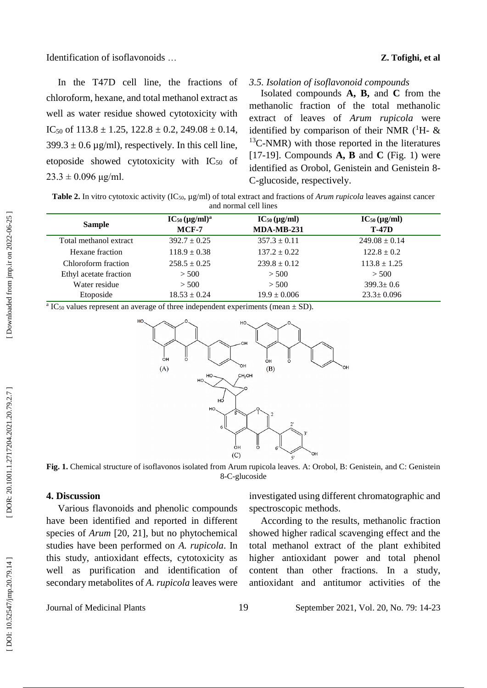Identification of isoflavonoids …

#### **Z . Tofighi, et al**

In the T47D cell line, the fractions of chloroform, hexane, and total methanol extract as well as water residue showed cytotoxicity with IC<sub>50</sub> of  $113.8 \pm 1.25$ ,  $122.8 \pm 0.2$ ,  $249.08 \pm 0.14$ ,  $399.3 \pm 0.6 \,\mu\text{g/ml}$ , respectively. In this cell line, etoposide showed cytotoxicity with  $IC_{50}$  of  $23.3 \pm 0.096$  μg/ml.

#### *3.5. Isolation of isoflavonoid compounds*

Isolated compounds **A, B,** and **C** from the methanolic fraction of the total methanolic extract of leaves of *Arum rupicola* were identified by comparison of their NMR  $(^1H-$  & <sup>13</sup>C-NMR) with those reported in the literatures [17 -19]. Compounds **A, B** and **C** (Fig. 1) were identified as Orobol, Genistein and Genistein 8 - C -glucoside, respectively.

| <b>Table 2.</b> In vitro cytotoxic activity (IC <sub>50</sub> , $\mu$ g/ml) of total extract and fractions of <i>Arum rupicola</i> leaves against cancer |
|----------------------------------------------------------------------------------------------------------------------------------------------------------|
| and normal cell lines                                                                                                                                    |

| <b>Sample</b>          | $IC_{50} (\mu g/ml)^a$<br>$MCF-7$ | $IC_{50}(\mu g/ml)$<br><b>MDA-MB-231</b> | $IC_{50} (\mu g/ml)$<br><b>T-47D</b> |
|------------------------|-----------------------------------|------------------------------------------|--------------------------------------|
| Total methanol extract | $392.7 \pm 0.25$                  | $357.3 \pm 0.11$                         | $249.08 \pm 0.14$                    |
| Hexane fraction        | $118.9 \pm 0.38$                  | $137.2 \pm 0.22$                         | $122.8 \pm 0.2$                      |
| Chloroform fraction    | $258.5 \pm 0.25$                  | $239.8 \pm 0.12$                         | $113.8 \pm 1.25$                     |
| Ethyl acetate fraction | > 500                             | > 500                                    | > 500                                |
| Water residue          | > 500                             | > 500                                    | $399.3 \pm 0.6$                      |
| Etoposide              | $18.53 \pm 0.24$                  | $19.9 \pm 0.006$                         | $23.3 \pm 0.096$                     |

<sup>a</sup> IC<sub>50</sub> values represent an average of three independent experiments (mean  $\pm$  SD).



**Fig. 1.** Chemical structure of isoflavonos isolated from Arum rupicola leaves. A: Orobol, B: Genistein, and C: Genistein 8-C-glucoside

## **4. Discussion**

Various flavonoids and phenolic compounds have been identified and reported in different species of *Arum* [20, 21], but no phytochemical studies have been performed on *A. rupicola*. In this study, antioxidant effects, cytotoxicity as well as purification and identification of secondary metabolites of *A. rupicola* leaves were investigated using different chromatographic and spectroscopic methods.

According to the results, methanolic fraction showed higher radical scavenging effect and the total methanol extract of the plant exhibited higher antioxidant power and total phenol content than other fractions. In a study, antioxidant and antitumor activities of the

Journal of Medicinal Plants 19

1, Vol. 20, No. 79: 14-23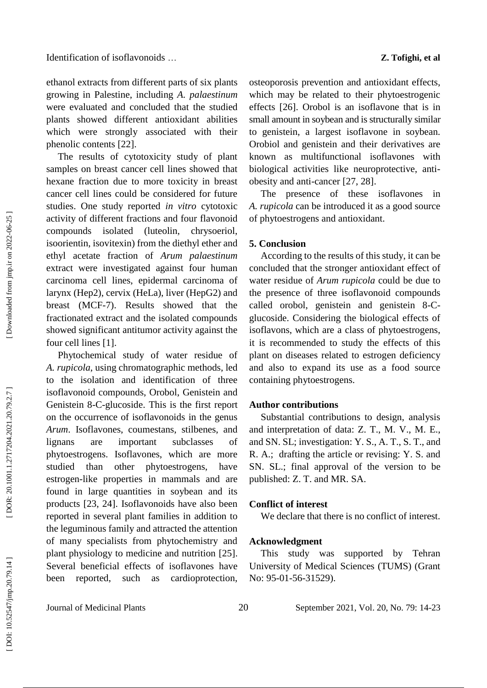ethanol extracts from different parts of six plants growing in Palestine, including *A. palaestinum* were evaluated and concluded that the studied plants showed different antioxidant abilities which were strongly associated with their phenolic contents [22] .

The results of cytotoxicity study of plant samples on breast cancer cell lines showed that hexane fraction due to more toxicity in breast cancer cell lines could be considered for future studies. One study reported *in vitro* cytotoxic activity of different fractions and four [flavonoid](https://www.sciencedirect.com/topics/biochemistry-genetics-and-molecular-biology/flavonoid) compounds isolated (luteolin, chrysoeriol, isoorientin, isovitexin) from the diethyl ether and ethyl acetate fraction of *[Arum](https://www.sciencedirect.com/topics/biochemistry-genetics-and-molecular-biology/arum) palaestinum* extract were investigated against four human carcinoma cell lines, epidermal carcinoma of larynx (Hep2), cervix (HeLa), liver (HepG2) and breast (MCF -7). Results showed that the fractionated extract and the isolated compounds showed significant antitumor activity against the four cell lines [1].

Phytochemical study of water residue of *A. rupicola*, using chromatographic methods, led to the isolation and identification of three isoflavonoid compounds, Orobol, Genistein and Genistein 8 - C -glucoside. This is the first report on the occurrence of isoflavonoids in the genus *Arum*. Isoflavones, coumestans, stilbenes, and lignans are important subclasses of phytoestrogens. Isoflavones, which are more studied than other phytoestrogens, have estrogen -like properties in mammals and are found in large quantities in soybean and its products [23, 24]. Isoflavonoids have also been reported in several plant families in addition to the leguminous family and attracted the attention of many specialists from phytochemistry and plant physiology to medicine and nutrition [25]. Several beneficial effects of isoflavones have been reported, such as cardioprotection,

osteoporosis prevention and antioxidant effects, which may be related to their phytoestrogenic effects [26] . Orobol is an isoflavone that is in small amount in soybean and is structurally similar to genistein, a largest isoflavone in soybean. Orobiol and genistein and their derivatives are known as multifunctional isoflavones with biological activities like neuroprotective, anti obesity and anti -cancer [27, 28] .

The presence of these isoflavones in *A. rupicola* can be introduced it as a good source of phytoestrogens and antioxidant.

#### **5. Conclusion**

According to the results of this study, it can be concluded that the stronger antioxidant effect of water residue of *Arum rupicola* could be due to the presence of three isoflavonoid compounds called orobol, genistein and genistein 8-Cglucoside. Considering the biological effects of isoflavons, which are a class of phytoestrogens, it is recommended to study the effects of this plant on diseases related to estrogen deficiency and also to expand its use as a food source containing phytoestrogens.

#### **Author contributions**

Substantial contributions to design, analysis and interpretation of data: Z. T., M. V., M. E., and SN. SL; investigation: Y. S., A. T., S. T., and R. A.; drafting the article or revising: Y. S. and SN. SL.; final approval of the version to be published: Z. T. and MR. SA.

### **Conflict of interest**

We declare that there is no conflict of interest.

#### **Acknowledgment**

This study was supported by Tehran University of Medical Sciences (TUMS) (Grant No: 95-01-56-31529).

Journal of Medicinal Plants 20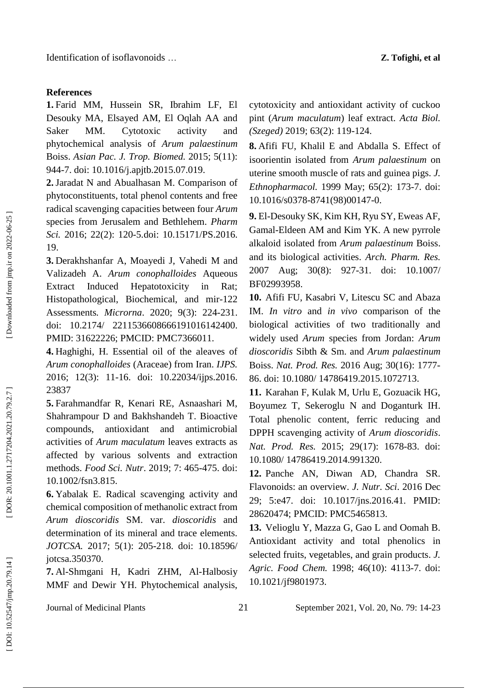**1.** Farid MM, Hussein SR, Ibrahim LF, El Desouky MA, Elsayed AM, El Oqlah AA and Saker MM. Cytotoxic activity and phytochemical analysis of *Arum palaestinum* Boiss. *Asian Pac . J. Trop . Biomed.* 2015; 5(11): 944 -7. doi: 10.1016/j.apjtb.2015.07.019 .

**2 .**Jaradat N and Abualhasan M. Comparison of phytoconstituents, total phenol contents and free radical scavenging capacities between four *Arum* species from Jerusalem and Bethlehem. *Pharm Sci.* 2016; 22(2): 120 -5.doi: 10.15171/PS.2016. 19 .

**3 .** Derakhshanfar A, Moayedi J, Vahedi M and Valizadeh A. *Arum conophalloides* Aqueous Extract Induced Hepatotoxicity in Rat; Histopathological, Biochemical, and mir -122 Assessments*. Microrna*. 2020; 9(3): 224 -231. doi: 10.2174/ 2211536608666191016142400. PMID: 31622226; PMCID: PMC7366011.

**4.** Haghighi, H. Essential oil of the aleaves of *Arum conophalloides* (Araceae) from Iran. *IJPS.* 2016; 12(3): 11 -16. doi: 10.22034/ijps.2016. 23837

**5.** Farahmandfar R, Kenari RE, Asnaashari M, Shahrampour D and Bakhshandeh T. Bioactive compounds, antioxidant and antimicrobial activities of *Arum maculatum* leaves extracts as affected by various solvents and extraction methods. *Food Sci. Nutr*. 2019; 7: 465 -475. doi: 10.1002/fsn3.815.

**6.** Yabalak E. Radical scavenging activity and chemical composition of methanolic extract from *Arum dioscoridis* SM. var. *dioscoridis* and determination of its mineral and trace elements. *JOTCSA.* 2017; 5(1): 205 -218. doi: 10.18596/ jotcsa.350370.

**7.** Al-Shmgani H , Kadri ZHM, Al -Halbosiy MMF and Dewir YH. Phytochemical analysis,

cytotoxicity and antioxidant activity of cuckoo pint (*Arum maculatum*) leaf extract. *Acta Biol. (Szeged)* 2019; 63(2): 119 -124.

**8 .** Afifi FU, Khalil E and Abdalla S. Effect of isoorientin isolated from *Arum palaestinum* on uterine smooth muscle of rats and guinea pigs. *J. Ethnopharmacol.* 1999 May; 65(2): 173 -7. doi: 10.1016/s0378 -8741(98)00147 -0.

**9 .** El -Desouky SK, Kim KH, Ryu SY, Eweas AF, Gamal -Eldeen AM and Kim YK. A new pyrrole alkaloid isolated from *Arum palaestinum* Boiss. and its biological activities. *Arch . Pharm . Res.* 2007 Aug; 30(8): 927-31. doi: 10.1007/ BF02993958 .

**10 .** Afifi FU, Kasabri V, Litescu SC and Abaza IM. *In vitro* and *in vivo* comparison of the biological activities of two traditionally and widely used *Arum* species from Jordan: *Arum dioscoridis* Sibth & Sm. and *Arum palaestinum* Boiss. *Nat . Prod . Res.* 2016 Aug; 30(16): 1777 - 86. doi: 10.1080/ 14786419.2015.1072713.

**11 .** Karahan F, Kulak M, Urlu E, Gozuacik HG, Boyumez T, Sekeroglu N and Doganturk IH. Total phenolic content, ferric reducing and DPPH scavenging activity of *Arum dioscoridis*. *Nat . Prod . Res.* 2015; 29(17): 1678 -83. doi: 10.1080/ 14786419.2014.991320.

**12 .** Panche AN, Diwan AD, Chandra SR. Flavonoids: an overview. *J. Nutr . Sci*. 2016 Dec 29; 5:e47. doi: 10.1017/jns.2016.41. PMID: 28620474; PMCID: PMC5465813.

**13 .** Velioglu Y, Mazza G, Gao L and Oomah B. Antioxidant activity and total phenolics in selected fruits, vegetables, and grain products. *J. Agric . Food Chem.* 1998; 46(10): 4113 -7. doi: 10.1021/jf9801973 .

Journal of Medicinal Plants 21 September 2021, Vol. 20, No. 79: 14 - 2 3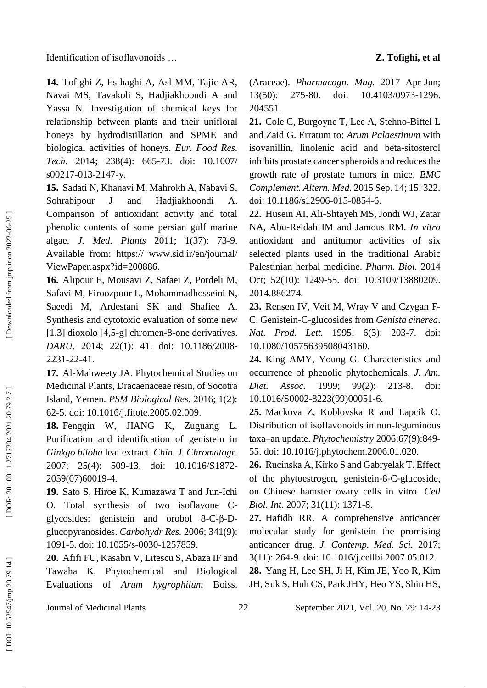Identification of isoflavonoids ... **Z. Tofighi, et al** 

**14 .** Tofighi Z, Es -haghi A, Asl MM, Tajic AR, Navai MS, Tavakoli S, Hadjiakhoondi A and Yassa N. Investigation of chemical keys for relationship between plants and their unifloral honeys by hydrodistillation and SPME and biological activities of honeys. *Eur . Food Res . Tech.* 2014; 238(4): 665 -73. doi: 10.1007/ s00217 -013 -2147 -y.

**15 .** Sadati N, Khanavi M, Mahrokh A, Nabavi S, Sohrabipour J and Hadjiakhoondi A. Comparison of antioxidant activity and total phenolic contents of some persian gulf marine algae. *J. Med. Plants* 2011; 1(37): 73 -9. Available from: https:// www.sid.ir/en/journal/ ViewPaper.aspx?id=200886.

**16 .** Alipour E, Mousavi Z, Safaei Z, Pordeli M, Safavi M, Firoozpour L, Mohammadhosseini N, Saeedi M, Ardestani SK and Shafiee A. Synthesis and cytotoxic evaluation of some new [1,3] dioxolo [4,5-g] chromen-8-one derivatives. *DARU.* 2014; 22(1): 41. doi: 10.1186/2008 - 2231 -22 -41 .

**17 .** Al -Mahweety JA. Phytochemical Studies on Medicinal Plants, Dracaenaceae resin, of Socotra Island, Yemen. *PSM Biological Res .* 2016; 1(2): 62 -5. doi: 10.1016/j.fitote.2005.02.009 .

**18 .** Fengqin W, JIANG K, Zuguang L. Purification and identification of genistein in *Ginkgo biloba* leaf extract. *Chin . J. Chromatogr.* 2007; 25(4): 509 -13. doi: 10.1016/S1872 - 2059(07)60019 - 4 .

**19 .** Sato S, Hiroe K, Kumazawa T and Jun -Ichi O. Total synthesis of two isoflavone C glycosides: genistein and orobol  $8-C-\beta-D$ glucopyranosides. *Carbohydr Res.* 2006; 341(9): 1091 -5. doi: 10.1055/s -0030 -1257859 .

**20 .** Afifi FU, Kasabri V, Litescu S, Abaza IF and Tawaha K. Phytochemical and Biological Evaluations of *Arum hygrophilum* Boiss.

(Araceae). *Pharmacogn . Mag.* 2017 Apr -Jun; 13(50): 275-80. -80. doi: 10.4103/0973 -1296. 204551.

21. Cole C, Burgoyne T, Lee A, Stehno-Bittel L and Zaid G. Erratum to: *Arum Palaestinum* with isovanillin, linolenic acid and beta -sitosterol inhibits prostate cancer spheroids and reduces the growth rate of prostate tumors in mice. *BMC Complement . Altern . Med.* 2015 Sep . 14; 15: 322. doi: 10.1186/s12906 -015 -0854 -6.

**22 .** Husein AI, Ali -Shtayeh MS, Jondi WJ, Zatar NA, Abu -Reidah IM and Jamous RM. *In vitro* antioxidant and antitumor activities of six selected plants used in the traditional Arabic Palestinian herbal medicine. *Pharm . Biol.* 2014 Oct; 52(10): 1249-55. doi: 10.3109/13880209. 2014.886274.

23. Rensen IV, Veit M, Wray V and Czygan F-C. Genistein - C -glucosides from *Genista cinerea*. *Nat. Prod. Lett.* 1995; 6(3): 203 -7. doi: 10.1080/10575639508043160 .

**24 .** King AMY, Young G. Characteristics and occurrence of phenolic phytochemicals. *J. Am. Diet Assoc.* 1999; 99(2): 213-8. doi: 10.1016/S0002 -8223(99)00051 -6.

**25 .** Mackova Z, Koblovska R and Lapcik O. Distribution of isoflavonoids in non -leguminous taxa–an update. *Phytochemistry* 2006;67(9):849 - 55. doi: 10.1016/j.phytochem.2006.01.020.

**26 .** Rucinska A, Kirko S and Gabryelak T. Effect of the phytoestrogen, genistein ‐ 8 ‐ C ‐glucoside, on Chinese hamster ovary cells in vitro. *Cell Biol. Int.* 2007; 31(11): 1371 -8.

**27 .** Hafidh RR. A comprehensive anticancer molecular study for genistein the promising anticancer drug. *J. Contemp . Med . Sci.* 2017; 3(11): 264 -9. doi: 10.1016/j.cellbi.2007.05.012 .

**28 .** Yang H, Lee SH, Ji H, Kim JE, Yoo R, Kim JH, Suk S, Huh CS, Park JHY, Heo YS, Shin HS,

Journal of Medicinal Plants 22

1, Vol. 20, No. 79: 14-23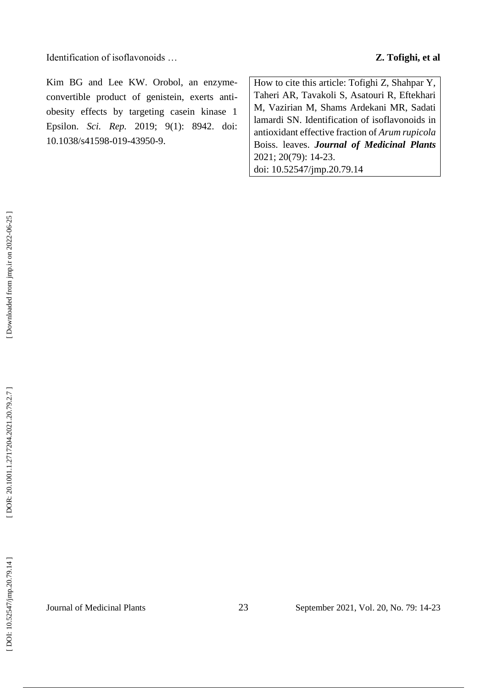Identification of isoflavonoids ... **Z. Tofighi, et al** 

Kim BG and Lee KW. Orobol, an enzyme convertible product of genistein, exerts anti obesity effects by targeting casein kinase 1 Epsilon. *Sci. Rep.* 2019; 9(1): 8942. doi: 10.1038/s41598 -019 -43950 -9.

How to cite this article: Tofighi Z, Shahpar Y, Taheri AR, Tavakoli S, Asatouri R, Eftekhari M, Vazirian M, Shams Ardekani MR, Sadati lamardi SN. Identification of isoflavonoids in antioxidant effective fraction of *Arum rupicola*  Boiss. leaves. *Journal of Medicinal Plants* 2021; 20(79): 14 - 2 3 . doi: 10.52547/jmp.20.79.14